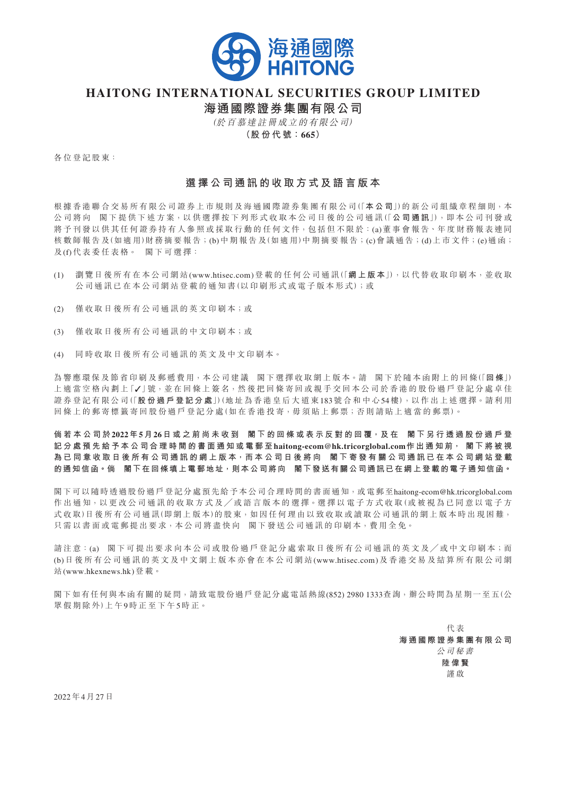

## **HAITONG INTERNATIONAL SECURITIES GROUP LIMITED**

**海通國際證券集團有限公司**

(於百慕達註冊成立的有限公司) **(股 份 代 號:665)**

各位登記股東:

## **選 擇 公 司 通 訊 的 收 取 方 式 及 語 言 版 本**

根 據 香 港 聯 合 交 易 所 有 限 公 司 證 券 上 市 規 則 及 海 通 國 際 證 券 集 團 有 限 公 司(「**本 公 司**」)的 新 公 司 組 織 章 程 細 則,本 公 司 將 向 閣 下 提 供 下 述 方 案,以 供 選 擇 按 下 列 形 式 收 取 本 公 司 日 後 的 公 司 通 訊(「**公 司 通 訊**」),即 本 公 司 刊 發 或 將予刊發以供其任何證券持有人參照或採取行動的任何文件,包括但不限於: (a)董事會報告、年度財務報表連同 核 數 師 報 告 及(如 適 用)財 務 摘 要 報 告;(b)中 期 報 告 及(如 適 用)中 期 摘 要 報 告;(c)會 議 通 告;(d)上 市 文 件;(e)通 函; 及(f)代表委任表格。 閣下可選擇:

- (1) 瀏 覽 日 後 所 有 在 本 公 司 網 站(www.htisec.com)登 載 的 任 何 公 司 通 訊(「**網 上 版 本**」),以 代 替 收 取 印 刷 本,並 收 取 公司通訊已在本公司網站登載的通知書(以印刷形式或電子版本形式);或
- (2) 僅收取日後所有公司通訊的英文印刷本;或
- (3) 僅收取日後所有公司通訊的中文印刷本;或
- (4) 同 時 收 取 日 後 所 有 公 司 通 訊 的 英 文 及 中 文 印 刷 本。

為 響 應 環 保 及 節 省 印 刷 及 郵 遞 費 用,本 公 司 建 議 閣 下 選 擇 收 取 網 上 版 本。請 閣 下 於 隨 本 函 附 上 的 回 條(「**回 條**」) 上 適 當 空 格 內 劃 上 [√]號, 並 在 回 條 上 簽 名, 然 後 把 回 條 寄 回 或 親 手 交 回 本 公 司 於 香 港 的 股 份 過 戶 登 記 分 處 卓 佳 證 券 登 記 有 限 公 司(「**股 份 過 戶 登 記 分 處**」)(地 址 為 香 港 皇 后 大 道 東183號 合 和 中 心54樓),以 作 出 上 述 選 擇。請 利 用 回條上的郵寄標籤寄回股份過戶登記分處(如在香港投寄,毋須貼上郵票;否則請貼上適當的郵票)。

倘若本公司於2022年5月26日或之前尚未收到 閣下的回條或表示反對的回覆,及在 閣下另行透過股份過戶登 記 分 處 預 先 給 予 本 公 司 合 理 時 間 的 書 面 通 知 或 電 郵 至 haitong-ecom@hk.tricorglobal.com 作 出 通 知 前 , 閣 下 將 被 視 為已同意收取日後所有公司通訊的網上版本,而本公司日後將向 閣下寄發有關公司通訊已在本公司網站登載 **的通知信函。倘 閣下在回條填上電郵地址,則本公司將向 閣下發送有關公司通訊已在網上登載的電子通知信函。**

閣下可以隨時透過股份過戶登記分處預先給予本公司合理時間的書面通知,或電郵至haitong-ecom@hk.tricorglobal.com 作出通知,以更改公司通訊的收取方式及/或語言版本的選擇。選擇以電子方式收取(或被視為已同意以電子方 式收取)日後所有公司通訊(即網上版本)的股東,如因任何理由以致收取或讀取公司通訊的網上版本時出現困難, 只需以書面或電郵提出要求,本公司將盡快向 閣下發送公司通訊的印刷本,費用全免。

請注意:(a) 閣下可提出要求向本公司或股份過戶登記分處索取日後所有公司通訊的英文及/或中文印刷本;而 (b)日 後 所 有 公 司 通 訊 的 英 文 及 中 文 網 上 版 本 亦 會 在 本 公 司 網 站(www.htisec.com)及 香 港 交 易 及 結 算 所 有 限 公 司 網 站(www.hkexnews.hk)登 載。

閣下如有任何與本函有關的疑問,請致電股份過戶登記分處電話熱線(852) 2980 1333查詢,辦公時間為星期一至五(公 眾 假 期 除 外)上 午9時 正 至 下 午5時 正。

> 代 表 **海 通 國 際 證 券 集 團 有 限 公 司** 公 司 秘 書 **陸 偉 賢** 謹 啟

2022年4月27日